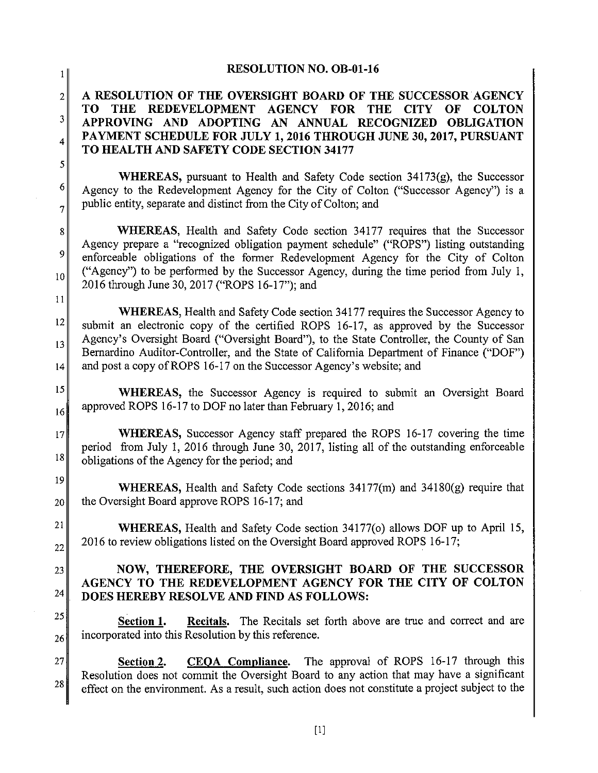| 1 I                                          | <b>RESOLUTION NO. OB-01-16</b>                                                                                                                                                                                                                                                                                                                                                                                                        |
|----------------------------------------------|---------------------------------------------------------------------------------------------------------------------------------------------------------------------------------------------------------------------------------------------------------------------------------------------------------------------------------------------------------------------------------------------------------------------------------------|
| $\overline{2}$<br>3<br>4<br>5                | A RESOLUTION OF THE OVERSIGHT BOARD OF THE SUCCESSOR AGENCY<br>REDEVELOPMENT AGENCY FOR THE<br><b>THE</b><br><b>CITY</b><br>TO.<br>OF<br><b>COLTON</b><br>APPROVING AND ADOPTING AN ANNUAL RECOGNIZED OBLIGATION<br>PAYMENT SCHEDULE FOR JULY 1, 2016 THROUGH JUNE 30, 2017, PURSUANT<br>TO HEALTH AND SAFETY CODE SECTION 34177                                                                                                      |
| 6<br>$\overline{7}$                          | WHEREAS, pursuant to Health and Safety Code section 34173(g), the Successor<br>Agency to the Redevelopment Agency for the City of Colton ("Successor Agency") is a<br>public entity, separate and distinct from the City of Colton; and                                                                                                                                                                                               |
| 8 <sup>1</sup><br>9<br>10 <sup>1</sup><br>11 | <b>WHEREAS</b> , Health and Safety Code section 34177 requires that the Successor<br>Agency prepare a "recognized obligation payment schedule" ("ROPS") listing outstanding<br>enforceable obligations of the former Redevelopment Agency for the City of Colton<br>("Agency") to be performed by the Successor Agency, during the time period from July 1,<br>2016 through June 30, 2017 ("ROPS 16-17"); and                         |
| 12 <br>13<br> 14                             | WHEREAS, Health and Safety Code section 34177 requires the Successor Agency to<br>submit an electronic copy of the certified ROPS 16-17, as approved by the Successor<br>Agency's Oversight Board ("Oversight Board"), to the State Controller, the County of San<br>Bernardino Auditor-Controller, and the State of California Department of Finance ("DOF")<br>and post a copy of ROPS 16-17 on the Successor Agency's website; and |
| 15<br>16                                     | <b>WHEREAS</b> , the Successor Agency is required to submit an Oversight Board<br>approved ROPS 16-17 to DOF no later than February 1, 2016; and                                                                                                                                                                                                                                                                                      |
| 17<br>18                                     | <b>WHEREAS</b> , Successor Agency staff prepared the ROPS 16-17 covering the time<br>period from July 1, 2016 through June 30, 2017, listing all of the outstanding enforceable<br>obligations of the Agency for the period; and                                                                                                                                                                                                      |
| 19<br>20                                     | WHEREAS, Health and Safety Code sections 34177(m) and 34180(g) require that<br>the Oversight Board approve ROPS 16-17; and                                                                                                                                                                                                                                                                                                            |
| 21<br>22                                     | WHEREAS, Health and Safety Code section 34177(o) allows DOF up to April 15,<br>2016 to review obligations listed on the Oversight Board approved ROPS 16-17;                                                                                                                                                                                                                                                                          |
| 23<br>24                                     | NOW, THEREFORE, THE OVERSIGHT BOARD OF THE SUCCESSOR<br>AGENCY TO THE REDEVELOPMENT AGENCY FOR THE CITY OF COLTON<br>DOES HEREBY RESOLVE AND FIND AS FOLLOWS:                                                                                                                                                                                                                                                                         |
| 25<br>26                                     | Recitals. The Recitals set forth above are true and correct and are<br>Section 1.<br>incorporated into this Resolution by this reference.                                                                                                                                                                                                                                                                                             |
| 27<br>28                                     | CEOA Compliance. The approval of ROPS 16-17 through this<br>Section 2.<br>Resolution does not commit the Oversight Board to any action that may have a significant<br>effect on the environment. As a result, such action does not constitute a project subject to the                                                                                                                                                                |

 $\ddot{\phantom{a}}$ 

 $[1] % \begin{center} % \includegraphics[width=\linewidth]{imagesSupplemental_3.png} % \end{center} % \caption { % Our method can be used for the proposed method. % Note that the \emph{Stab} and the \emph{Stab} can be used for the \emph{Stab} and the \emph{Stab} can be used for the \emph{Stab} and the \emph{Stab} can be used for the \emph{Stab} and the \emph{Stab} can be used for the \emph{Stab} and the \emph{Stab} can be used for the \emph{Stab} and the \emph{Stab} can be used for the \emph{Stab} and the \emph{Stab} can be used for the \emph{Stab} and the \emph{Stab} can be used for the \$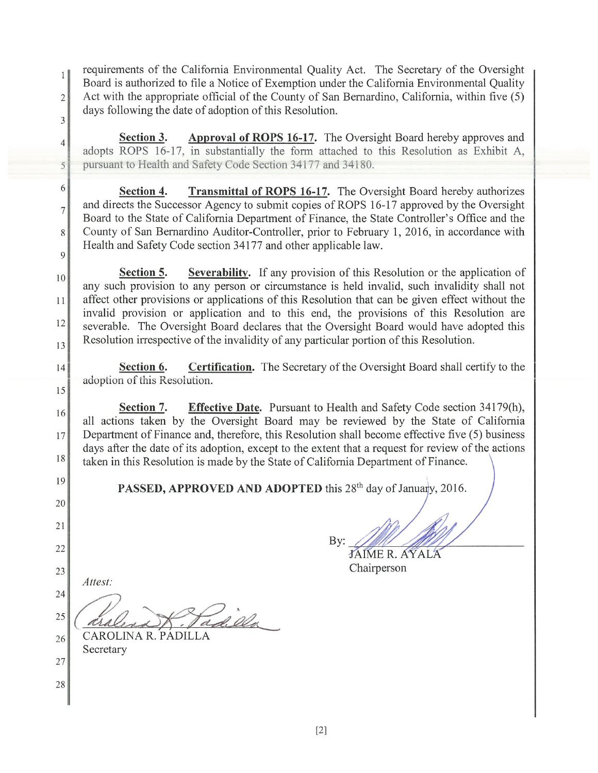requirements of the California Environmental Quality Act. The Secretary of the Oversight  $1<sup>1</sup>$ Board is authorized to file a Notice of Exemption under the California Environmental Quality Act with the appropriate official of the County of San Bernardino, California, within five (5)  $\overline{2}$ days following the date of adoption of this Resolution.

Approval of ROPS 16-17. The Oversight Board hereby approves and Section 3. adopts ROPS 16-17, in substantially the form attached to this Resolution as Exhibit A, pursuant to Health and Safety Code Section 34177 and 34180.

**Transmittal of ROPS 16-17.** The Oversight Board hereby authorizes Section 4. and directs the Successor Agency to submit copies of ROPS 16-17 approved by the Oversight Board to the State of California Department of Finance, the State Controller's Office and the County of San Bernardino Auditor-Controller, prior to February 1, 2016, in accordance with Health and Safety Code section 34177 and other applicable law.

Section 5. **Severability.** If any provision of this Resolution or the application of any such provision to any person or circumstance is held invalid, such invalidity shall not affect other provisions or applications of this Resolution that can be given effect without the invalid provision or application and to this end, the provisions of this Resolution are severable. The Oversight Board declares that the Oversight Board would have adopted this Resolution irrespective of the invalidity of any particular portion of this Resolution.

Section 6. Certification. The Secretary of the Oversight Board shall certify to the adoption of this Resolution.

**Effective Date.** Pursuant to Health and Safety Code section 34179(h), Section 7. all actions taken by the Oversight Board may be reviewed by the State of California Department of Finance and, therefore, this Resolution shall become effective five (5) business days after the date of its adoption, except to the extent that a request for review of the actions taken in this Resolution is made by the State of California Department of Finance.

PASSED, APPROVED AND ADOPTED this 28<sup>th</sup> day of January, 2016.

21

22

28

 $\overline{3}$ 

 $\overline{4}$ 

5

6

 $\overline{7}$ 

8

 $\mathsf{Q}$ 

10

 $11$ 

12

13

 $14$ 

15

16

17

18

19

20

23 Attest:

24 ad. Ola 25 CAROLINA R. PÁDILLA

26 Secretary  $27\,$ 

By: JAIME R. AYALA Chairperson

 $\left[2\right]$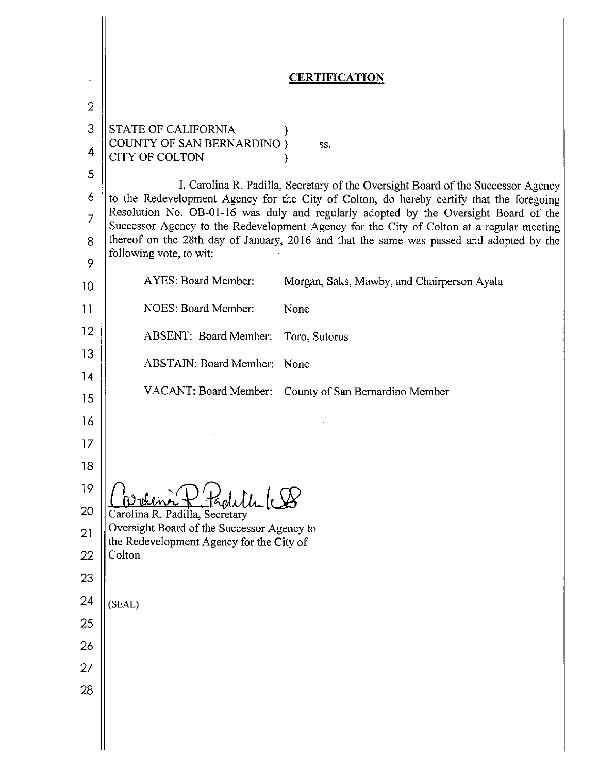|                | <b>CERTIFICATION</b>                                                                                                                                                             |
|----------------|----------------------------------------------------------------------------------------------------------------------------------------------------------------------------------|
| $\overline{2}$ |                                                                                                                                                                                  |
| 3              | STATE OF CALIFORNIA                                                                                                                                                              |
| 4              | <b>COUNTY OF SAN BERNARDINO</b> )<br>SS.<br><b>CITY OF COLTON</b>                                                                                                                |
| 5              |                                                                                                                                                                                  |
| 6              | I, Carolina R. Padilla, Secretary of the Oversight Board of the Successor Agency<br>to the Redevelopment Agency for the City of Colton, do hereby certify that the foregoing     |
| 7              | Resolution No. OB-01-16 was duly and regularly adopted by the Oversight Board of the<br>Successor Agency to the Redevelopment Agency for the City of Colton at a regular meeting |
| 8<br>9         | thereof on the 28th day of January, 2016 and that the same was passed and adopted by the<br>following vote, to wit:                                                              |
| 10             | AYES: Board Member:<br>Morgan, Saks, Mawby, and Chairperson Ayala                                                                                                                |
| 11             | NOES: Board Member:<br>None                                                                                                                                                      |
| 12             | ABSENT: Board Member:<br>Toro, Sutorus                                                                                                                                           |
| 13<br>14       | ABSTAIN: Board Member: None                                                                                                                                                      |
| 15             | VACANT: Board Member: County of San Bernardino Member                                                                                                                            |
| 16             |                                                                                                                                                                                  |
| 17             |                                                                                                                                                                                  |
| 18             |                                                                                                                                                                                  |
| 19             |                                                                                                                                                                                  |
| 20             | Carolina R. Padilla, Secretary                                                                                                                                                   |
| 21             | Oversight Board of the Successor Agency to<br>the Redevelopment Agency for the City of                                                                                           |
| 22             | Colton                                                                                                                                                                           |
| 23             |                                                                                                                                                                                  |
| 24             | (SEAL)                                                                                                                                                                           |
| 25             |                                                                                                                                                                                  |
| 26<br>27       |                                                                                                                                                                                  |
| 28             |                                                                                                                                                                                  |
|                |                                                                                                                                                                                  |
|                |                                                                                                                                                                                  |
|                |                                                                                                                                                                                  |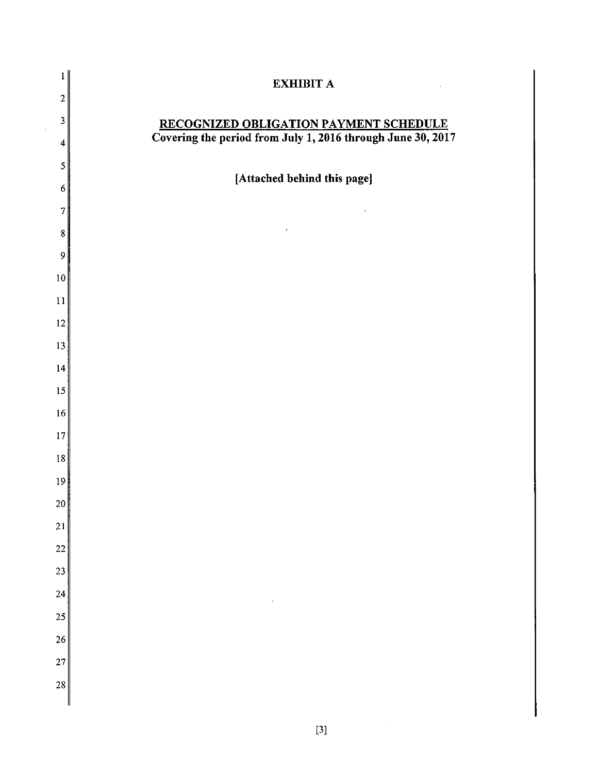| $\mathbf{1}$            | <b>EXHIBIT A</b>                                            |
|-------------------------|-------------------------------------------------------------|
| $\overline{2}$          |                                                             |
| $\mathbf 3$             | RECOGNIZED OBLIGATION PAYMENT SCHEDULE                      |
| $\overline{\mathbf{4}}$ | Covering the period from July 1, 2016 through June 30, 2017 |
| 5                       |                                                             |
| $\boldsymbol{6}$        | [Attached behind this page]                                 |
| 7                       | ¥,                                                          |
| 8                       |                                                             |
| 9                       |                                                             |
| $10\,$                  |                                                             |
| 11                      |                                                             |
| 12                      |                                                             |
| 13                      |                                                             |
| 14                      |                                                             |
| 15                      |                                                             |
| $16\,$                  |                                                             |
| 17                      |                                                             |
| 18                      |                                                             |
| 19                      |                                                             |
| 20                      |                                                             |
| 21                      |                                                             |
| 22                      |                                                             |
| 23                      |                                                             |
| 24                      | $\blacksquare$                                              |
| 25                      |                                                             |
| 26                      |                                                             |
| 27                      |                                                             |
| 28                      |                                                             |
|                         |                                                             |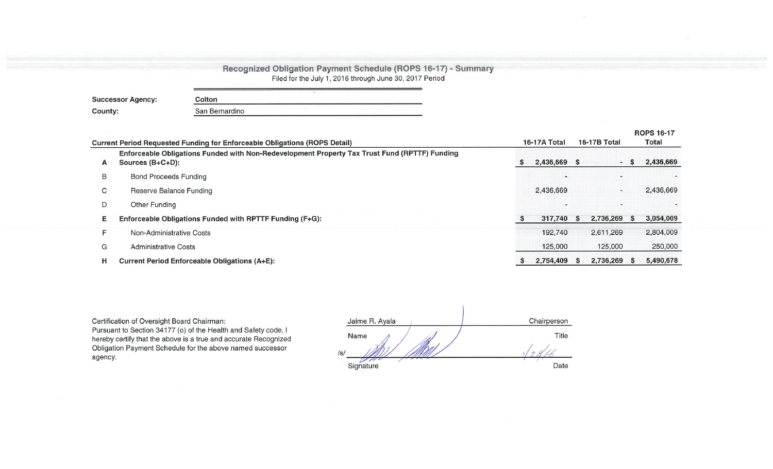| <b>Recognized Obligation Payment Schedule (ROPS 16-17) - Summary</b> |  |
|----------------------------------------------------------------------|--|
| Filed for the July 1, 2016 through June 30, 2017 Period              |  |

| <b>Successor Agency:</b> | Colton         |  |
|--------------------------|----------------|--|
| County:                  | San Bernardino |  |

|   |                                                                                                                      |   |              |     |                              |   | <b>ROPS 16-17</b> |
|---|----------------------------------------------------------------------------------------------------------------------|---|--------------|-----|------------------------------|---|-------------------|
|   | <b>Current Period Requested Funding for Enforceable Obligations (ROPS Detail)</b>                                    |   | 16-17A Total |     | 16-17B Total                 |   | Total             |
| A | Enforceable Obligations Funded with Non-Redevelopment Property Tax Trust Fund (RPTTF) Funding<br>Sources $(B+C+D)$ : | S | 2,436,669    | - 5 | $\qquad \qquad \blacksquare$ |   | 2,436,669         |
| в | <b>Bond Proceeds Funding</b>                                                                                         |   |              |     |                              |   |                   |
| C | Reserve Balance Funding                                                                                              |   | 2,436,669    |     | $\sim$                       |   | 2,436,669         |
| D | Other Funding                                                                                                        |   |              |     | $\sim$                       |   |                   |
| Е | Enforceable Obligations Funded with RPTTF Funding (F+G):                                                             | S | 317,740      | - S | 2,736,269                    | s | 3,054,009         |
| F | Non-Administrative Costs                                                                                             |   | 192,740      |     | 2.611.269                    |   | 2,804,009         |
| G | <b>Administrative Costs</b>                                                                                          |   | 125,000      |     | 125,000                      |   | 250,000           |
| н | <b>Current Period Enforceable Obligations (A+E):</b>                                                                 |   | 2,754,409    | S   | 2,736,269                    |   | 5,490,678         |

Certification of Oversight Board Chairman:<br>Pursuant to Section 34177 (o) of the Health and Safety code, I<br>hereby certify that the above is a true and accurate Recognized Obligation Payment Schedule for the above named successor agency.

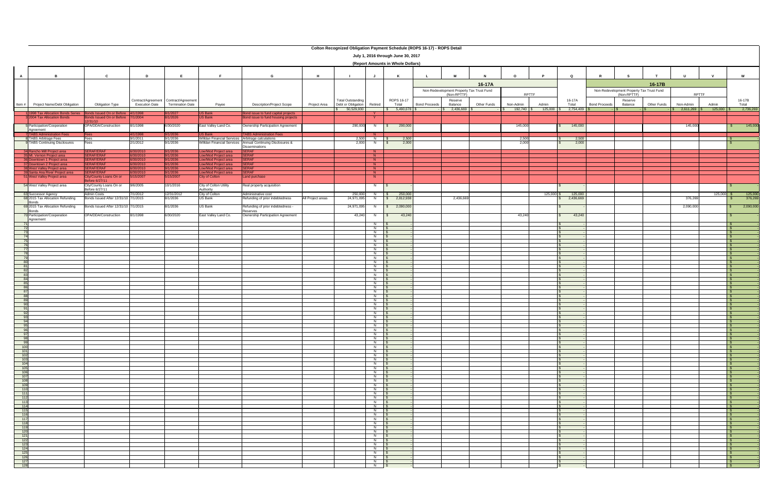|                                                                                                                                         | <b>Colton Recognized Obligation Payment Schedule (ROPS 16-17) - ROPS Detail</b><br>July 1, 2016 through June 30, 2017 |                                                            |                                         |                         |                                                                     |                                                              |                   |                                                |                               |                                   |                      |                                           |                    |                           |                       |                         |                      |                                           |             |                                         |                       |                    |
|-----------------------------------------------------------------------------------------------------------------------------------------|-----------------------------------------------------------------------------------------------------------------------|------------------------------------------------------------|-----------------------------------------|-------------------------|---------------------------------------------------------------------|--------------------------------------------------------------|-------------------|------------------------------------------------|-------------------------------|-----------------------------------|----------------------|-------------------------------------------|--------------------|---------------------------|-----------------------|-------------------------|----------------------|-------------------------------------------|-------------|-----------------------------------------|-----------------------|--------------------|
|                                                                                                                                         |                                                                                                                       |                                                            |                                         |                         |                                                                     |                                                              |                   |                                                |                               | (Report Amounts in Whole Dollars) |                      |                                           |                    |                           |                       |                         |                      |                                           |             |                                         |                       |                    |
| <b>A</b>                                                                                                                                |                                                                                                                       |                                                            | D.                                      |                         |                                                                     |                                                              | H                 |                                                |                               |                                   |                      | M                                         |                    | $\mathsf{o}$              |                       |                         |                      |                                           |             |                                         |                       | W                  |
|                                                                                                                                         |                                                                                                                       |                                                            |                                         |                         |                                                                     |                                                              |                   |                                                |                               |                                   |                      |                                           | 16-17A             |                           |                       |                         |                      |                                           | 16-17B      |                                         |                       |                    |
|                                                                                                                                         |                                                                                                                       |                                                            |                                         |                         |                                                                     |                                                              |                   |                                                |                               |                                   |                      | Non-Redevelopment Property Tax Trust Fund |                    |                           |                       |                         |                      | Non-Redevelopment Property Tax Trust Fund |             |                                         |                       |                    |
|                                                                                                                                         |                                                                                                                       |                                                            |                                         |                         |                                                                     |                                                              |                   |                                                |                               |                                   |                      | (Non-RPTTF)                               |                    | <b>RPTTF</b>              |                       |                         |                      | (Non-RPTTF)                               |             | <b>RPTTF</b>                            |                       |                    |
|                                                                                                                                         |                                                                                                                       |                                                            | Contract/Agreement   Contract/Agreement |                         |                                                                     |                                                              |                   | Total Outstanding                              |                               | ROPS 16-17                        |                      | Reserve                                   |                    |                           |                       | 16-17A                  |                      | Reserve                                   |             |                                         |                       | 16-17B             |
| Item $#$                                                                                                                                | <b>Project Name/Debt Obligation</b>                                                                                   | <b>Obligation Type</b>                                     | <b>Execution Date</b>                   | <b>Termination Date</b> | Payee                                                               | <b>Description/Project Scope</b>                             | Project Area      | Debt or Obligation<br>$\frac{1}{2}$ 50,529,930 | Retired                       | Total<br>\$ 5,490,678             | <b>Bond Proceeds</b> | Balance<br>2,436,669                      | <b>Other Funds</b> | Non-Admin<br>$192,740$ \$ | Admin<br>$125,000$ \$ | Total<br>$2,754,409$ \$ | <b>Bond Proceeds</b> | Balance<br>IS.                            | Other Funds | Non-Admin<br>$\frac{1}{5}$ 2,611,269 \$ | Admin<br>$125,000$ \$ | Total<br>2,736,269 |
|                                                                                                                                         | 11998 Tax Allocation Bonds Series Bonds Issued On or Before 4/1/1998                                                  |                                                            |                                         | 8/1/2027                | <b>US Bank</b>                                                      | Bond issue to fund capital projects                          |                   |                                                | $\mathbf{Y}$                  |                                   |                      |                                           |                    |                           |                       |                         |                      |                                           |             |                                         |                       |                    |
|                                                                                                                                         | <b>B</b> <sub>2004</sub> Tax Allocation Bonds                                                                         | Bonds Issued On or Before 7/1/2004<br>12/31/10             |                                         | 8/1/2026                | <b>US Bank</b>                                                      | Bond issue to fund housing projects                          |                   |                                                | <sup>Y</sup>                  |                                   |                      |                                           |                    |                           |                       |                         |                      |                                           |             |                                         |                       |                    |
|                                                                                                                                         | Participation/Cooperation                                                                                             | OPA/DDA/Construction                                       | 8/1/1998                                | 6/30/2020               | East Valley Land Co.                                                | Ownership Participation Agreement                            |                   | 290,000                                        | N                             | 290,000                           |                      |                                           |                    | 145,000                   |                       | 145,000                 |                      |                                           |             | 145,000                                 |                       | 145,000            |
|                                                                                                                                         | Agreement                                                                                                             |                                                            |                                         |                         |                                                                     |                                                              |                   |                                                |                               |                                   |                      |                                           |                    |                           |                       |                         |                      |                                           |             |                                         |                       |                    |
|                                                                                                                                         | 7 TABS Administration Fees<br>8 TABS Arbitrage Fees                                                                   | <b>Fees</b><br>Fees                                        | 4/1/1998<br>9/1/2011                    | 9/1/2036<br>9/1/2036    | <b>US Bank</b><br>Willdan Financial Services Arbitrage calculations | <b>TABS Administration Fees</b>                              |                   | 2,500                                          | N<br>N                        | 2,500                             |                      |                                           |                    | 2,500                     |                       | 2,500                   |                      |                                           |             |                                         |                       |                    |
|                                                                                                                                         | 9 TABS Continuing Disclosures                                                                                         | Fees                                                       | 2/1/2012                                | 9/1/2036                |                                                                     | Willdan Financial Services   Annual Continuing Disclosures & |                   | 2,000                                          | N                             | 2,000                             |                      |                                           |                    | 2,000                     |                       | 2,000                   |                      |                                           |             |                                         |                       |                    |
|                                                                                                                                         | 34 Rancho Mill Project area                                                                                           | <b>SERAF/ERAF</b>                                          | 6/30/2010                               | 9/1/2036                | Low/Mod Project area                                                | Disseminations<br><b>SERAF</b>                               |                   |                                                | N                             |                                   |                      |                                           |                    |                           |                       |                         |                      |                                           |             |                                         |                       |                    |
|                                                                                                                                         | 35 Mt. Vernon Project area                                                                                            | SERAF/ERAF                                                 | 6/30/2010                               | 9/1/2036                | Low/Mod Project area                                                | <b>SERAF</b>                                                 |                   |                                                | N                             |                                   |                      |                                           |                    |                           |                       |                         |                      |                                           |             |                                         |                       |                    |
|                                                                                                                                         | 36 Downtown 1 Project area                                                                                            | SERAF/ERAF                                                 | 6/30/2010                               | 9/1/2036                | Low/Mod Project area                                                | <b>SERAF</b>                                                 |                   |                                                | N                             |                                   |                      |                                           |                    |                           |                       |                         |                      |                                           |             |                                         |                       |                    |
|                                                                                                                                         | 37 Downtown 2 Project area<br>38 West Valley Project area                                                             | SERAF/ERAF<br>SERAF/ERAF                                   | 6/30/2010<br>6/30/2010                  | 9/1/2036<br>9/1/2036    | Low/Mod Project area<br>Low/Mod Project area                        | <b>ERAF</b><br><b>SERAF</b>                                  |                   |                                                | N<br>N                        |                                   |                      |                                           |                    |                           |                       |                         |                      |                                           |             |                                         |                       |                    |
|                                                                                                                                         | 39 Santa Ana River Project area                                                                                       | SERAF/ERAF                                                 | 6/30/2010                               | 9/1/2036                | Low/Mod Project area                                                | <b>SERAF</b>                                                 |                   |                                                | N                             |                                   |                      |                                           |                    |                           |                       |                         |                      |                                           |             |                                         |                       |                    |
|                                                                                                                                         | 51 West Valley Project area                                                                                           | City/County Loans On or<br>Before 6/27/11                  | 5/15/2007                               | 5/15/2007               | City of Colton                                                      | Land purchase                                                |                   |                                                | N                             |                                   |                      |                                           |                    |                           |                       |                         |                      |                                           |             |                                         |                       |                    |
|                                                                                                                                         | 54 West Valley Project area                                                                                           | City/County Loans On or                                    | 9/6/2005                                | 10/1/2016               | City of Colton Utility                                              | Real property acquisition                                    |                   |                                                | $N$   \$                      |                                   |                      |                                           |                    |                           |                       |                         |                      |                                           |             |                                         |                       |                    |
|                                                                                                                                         |                                                                                                                       | Before 6/27/11                                             |                                         |                         | Authority                                                           |                                                              |                   |                                                |                               |                                   |                      |                                           |                    |                           |                       |                         |                      |                                           |             |                                         |                       |                    |
|                                                                                                                                         | 63 Successor Agency<br>68 2015 Tax Allocation Refunding                                                               | <b>Admin Costs</b><br>Bonds Issued After 12/31/10 7/1/2015 | 7/1/2012                                | 12/31/2012<br>8/1/2036  | City of Colton<br>US Bank                                           | Administrative cost<br>Refunding of prior indebtedness       | All Project areas | 250,000<br>24,971,095                          | N<br>N   \$                   | 250,000<br>2,812,938              |                      | 2,436,669                                 |                    |                           | $125,000$ \$          | 125,000<br>2,436,669    |                      |                                           |             | 376,269                                 | $125,000$ \$          | 125,000<br>376,269 |
|                                                                                                                                         | Bonds                                                                                                                 |                                                            |                                         |                         |                                                                     |                                                              |                   |                                                |                               |                                   |                      |                                           |                    |                           |                       |                         |                      |                                           |             |                                         |                       |                    |
|                                                                                                                                         | 69 2015 Tax Allocation Refunding<br>Bonds                                                                             | Bonds Issued After 12/31/10 7/1/2015                       |                                         | 8/1/2036                | US Bank                                                             | Refunding of prior indebtedness -<br>Reserves                |                   | 24,971,095                                     |                               | N \$ 2,090,000                    |                      |                                           |                    |                           |                       |                         |                      |                                           |             | 2,090,000                               |                       | 2,090,000          |
|                                                                                                                                         | 70 Participation/Cooperation<br>Agreement                                                                             | OPA/DDA/Construction                                       | 8/1/1998                                | 6/30/2020               | East Valley Land Co.                                                | Ownership Participation Agreement                            |                   | $43,240$ N \$                                  |                               | 43,240                            |                      |                                           |                    | 43,240                    |                       | 43,240                  |                      |                                           |             |                                         |                       |                    |
|                                                                                                                                         |                                                                                                                       |                                                            |                                         |                         |                                                                     |                                                              |                   |                                                | $N$                           |                                   |                      |                                           |                    |                           |                       |                         |                      |                                           |             |                                         |                       |                    |
|                                                                                                                                         |                                                                                                                       |                                                            |                                         |                         |                                                                     |                                                              |                   |                                                | $N$ $\sqrt$<br>$\overline{N}$ |                                   |                      |                                           |                    |                           |                       |                         |                      |                                           |             |                                         |                       |                    |
|                                                                                                                                         |                                                                                                                       |                                                            |                                         |                         |                                                                     |                                                              |                   |                                                | N                             |                                   |                      |                                           |                    |                           |                       |                         |                      |                                           |             |                                         |                       |                    |
|                                                                                                                                         |                                                                                                                       |                                                            |                                         |                         |                                                                     |                                                              |                   |                                                | N<br>N                        |                                   |                      |                                           |                    |                           |                       |                         |                      |                                           |             |                                         |                       |                    |
|                                                                                                                                         |                                                                                                                       |                                                            |                                         |                         |                                                                     |                                                              |                   |                                                | N                             |                                   |                      |                                           |                    |                           |                       |                         |                      |                                           |             |                                         |                       |                    |
|                                                                                                                                         |                                                                                                                       |                                                            |                                         |                         |                                                                     |                                                              |                   |                                                | $N$  <br>$\overline{N}$       |                                   |                      |                                           |                    |                           |                       |                         |                      |                                           |             |                                         |                       |                    |
|                                                                                                                                         |                                                                                                                       |                                                            |                                         |                         |                                                                     |                                                              |                   |                                                | $N$ $\sqrt{S}$                |                                   |                      |                                           |                    |                           |                       |                         |                      |                                           |             |                                         |                       |                    |
|                                                                                                                                         |                                                                                                                       |                                                            |                                         |                         |                                                                     |                                                              |                   |                                                | N                             |                                   |                      |                                           |                    |                           |                       |                         |                      |                                           |             |                                         |                       |                    |
|                                                                                                                                         |                                                                                                                       |                                                            |                                         |                         |                                                                     |                                                              |                   |                                                | $\overline{N}$<br>$N$         |                                   |                      |                                           |                    |                           |                       |                         |                      |                                           |             |                                         |                       |                    |
| 84                                                                                                                                      |                                                                                                                       |                                                            |                                         |                         |                                                                     |                                                              |                   |                                                | $N$ \$                        |                                   |                      |                                           |                    |                           |                       |                         |                      |                                           |             |                                         |                       |                    |
|                                                                                                                                         |                                                                                                                       |                                                            |                                         |                         |                                                                     |                                                              |                   |                                                | $\overline{N}$<br>$N$ $\sqrt$ |                                   |                      |                                           |                    |                           |                       |                         |                      |                                           |             |                                         |                       |                    |
|                                                                                                                                         |                                                                                                                       |                                                            |                                         |                         |                                                                     |                                                              |                   |                                                | $\overline{N}$                |                                   |                      |                                           |                    |                           |                       |                         |                      |                                           |             |                                         |                       |                    |
| -88<br>-89                                                                                                                              |                                                                                                                       |                                                            |                                         |                         |                                                                     |                                                              |                   |                                                | $N$ \$<br>N                   |                                   |                      |                                           |                    |                           |                       |                         |                      |                                           |             |                                         |                       |                    |
| - 90                                                                                                                                    |                                                                                                                       |                                                            |                                         |                         |                                                                     |                                                              |                   |                                                | N                             |                                   |                      |                                           |                    |                           |                       |                         |                      |                                           |             |                                         |                       |                    |
| 92                                                                                                                                      |                                                                                                                       |                                                            |                                         |                         |                                                                     |                                                              |                   |                                                | N<br>$\overline{\mathsf{N}}$  |                                   |                      |                                           |                    |                           |                       |                         |                      |                                           |             |                                         |                       |                    |
| - 93                                                                                                                                    |                                                                                                                       |                                                            |                                         |                         |                                                                     |                                                              |                   |                                                | $N$                           |                                   |                      |                                           |                    |                           |                       |                         |                      |                                           |             |                                         |                       |                    |
|                                                                                                                                         |                                                                                                                       |                                                            |                                         |                         |                                                                     |                                                              |                   |                                                |                               |                                   |                      |                                           |                    |                           |                       |                         |                      |                                           |             |                                         |                       |                    |
|                                                                                                                                         |                                                                                                                       |                                                            |                                         |                         |                                                                     |                                                              |                   |                                                | N<br>N                        |                                   |                      |                                           |                    |                           |                       |                         |                      |                                           |             |                                         |                       |                    |
|                                                                                                                                         |                                                                                                                       |                                                            |                                         |                         |                                                                     |                                                              |                   |                                                | N                             |                                   |                      |                                           |                    |                           |                       |                         |                      |                                           |             |                                         |                       |                    |
| -98<br>- 99                                                                                                                             |                                                                                                                       |                                                            |                                         |                         |                                                                     |                                                              |                   |                                                | $N$                           |                                   |                      |                                           |                    |                           |                       |                         |                      |                                           |             |                                         |                       |                    |
| 100                                                                                                                                     |                                                                                                                       |                                                            |                                         |                         |                                                                     |                                                              |                   |                                                | $N$                           |                                   |                      |                                           |                    |                           |                       |                         |                      |                                           |             |                                         |                       |                    |
| $\frac{1}{101}$<br>$-102$                                                                                                               |                                                                                                                       |                                                            |                                         |                         |                                                                     |                                                              |                   |                                                | $\overline{N}$<br>N           |                                   |                      |                                           |                    |                           |                       |                         |                      |                                           |             |                                         |                       |                    |
| $\begin{array}{r} 102 \\ \hline 103 \\ 104 \\ \hline 105 \\ 106 \\ 107 \\ 108 \\ 109 \\ 110 \\ 111 \\ 111 \\ 112 \\ \hline \end{array}$ |                                                                                                                       |                                                            |                                         |                         |                                                                     |                                                              |                   |                                                | $N$                           |                                   |                      |                                           |                    |                           |                       |                         |                      |                                           |             |                                         |                       |                    |
|                                                                                                                                         |                                                                                                                       |                                                            |                                         |                         |                                                                     |                                                              |                   |                                                | $N$  <br>N                    |                                   |                      |                                           |                    |                           |                       |                         |                      |                                           |             |                                         |                       |                    |
|                                                                                                                                         |                                                                                                                       |                                                            |                                         |                         |                                                                     |                                                              |                   |                                                | N   \$                        |                                   |                      |                                           |                    |                           |                       |                         |                      |                                           |             |                                         |                       |                    |
|                                                                                                                                         |                                                                                                                       |                                                            |                                         |                         |                                                                     |                                                              |                   |                                                | $N$                           |                                   |                      |                                           |                    |                           |                       |                         |                      |                                           |             |                                         |                       |                    |
|                                                                                                                                         |                                                                                                                       |                                                            |                                         |                         |                                                                     |                                                              |                   |                                                | $N$ \$<br>$N$                 |                                   |                      |                                           |                    |                           |                       |                         |                      |                                           |             |                                         |                       |                    |
|                                                                                                                                         |                                                                                                                       |                                                            |                                         |                         |                                                                     |                                                              |                   |                                                |                               |                                   |                      |                                           |                    |                           |                       |                         |                      |                                           |             |                                         |                       |                    |
| $\sqrt{112}$                                                                                                                            |                                                                                                                       |                                                            |                                         |                         |                                                                     |                                                              |                   |                                                | $N$  <br>$N$ \$               |                                   |                      |                                           |                    |                           |                       |                         |                      |                                           |             |                                         |                       |                    |
|                                                                                                                                         |                                                                                                                       |                                                            |                                         |                         |                                                                     |                                                              |                   |                                                |                               |                                   |                      |                                           |                    |                           |                       |                         |                      |                                           |             |                                         |                       |                    |
| $\begin{array}{r} 113 \\ \hline 114 \\ \hline 115 \\ \hline 116 \end{array}$                                                            |                                                                                                                       |                                                            |                                         |                         |                                                                     |                                                              |                   |                                                | N   \$<br>N                   |                                   |                      |                                           |                    |                           |                       |                         |                      |                                           |             |                                         |                       |                    |
| $\frac{116}{117}$                                                                                                                       |                                                                                                                       |                                                            |                                         |                         |                                                                     |                                                              |                   |                                                | N                             |                                   |                      |                                           |                    |                           |                       |                         |                      |                                           |             |                                         |                       |                    |
| 117<br>$\frac{11}{118}$                                                                                                                 |                                                                                                                       |                                                            |                                         |                         |                                                                     |                                                              |                   |                                                | N                             |                                   |                      |                                           |                    |                           |                       |                         |                      |                                           |             |                                         |                       |                    |
|                                                                                                                                         |                                                                                                                       |                                                            |                                         |                         |                                                                     |                                                              |                   |                                                | N<br>$N$                      |                                   |                      |                                           |                    |                           |                       |                         |                      |                                           |             |                                         |                       |                    |
|                                                                                                                                         |                                                                                                                       |                                                            |                                         |                         |                                                                     |                                                              |                   |                                                | N                             |                                   |                      |                                           |                    |                           |                       |                         |                      |                                           |             |                                         |                       |                    |
|                                                                                                                                         |                                                                                                                       |                                                            |                                         |                         |                                                                     |                                                              |                   |                                                | $N$  <br>N                    |                                   |                      |                                           |                    |                           |                       |                         |                      |                                           |             |                                         |                       |                    |
| 118<br>119<br>120<br>121<br>123<br>124<br>125<br>127<br>128<br>128                                                                      |                                                                                                                       |                                                            |                                         |                         |                                                                     |                                                              |                   |                                                | N                             |                                   |                      |                                           |                    |                           |                       |                         |                      |                                           |             |                                         |                       |                    |
|                                                                                                                                         |                                                                                                                       |                                                            |                                         |                         |                                                                     |                                                              |                   |                                                | N   \$                        |                                   |                      |                                           |                    |                           |                       |                         |                      |                                           |             |                                         |                       |                    |
|                                                                                                                                         |                                                                                                                       |                                                            |                                         |                         |                                                                     |                                                              |                   |                                                | $N$ $\sqrt$                   |                                   |                      |                                           |                    |                           |                       |                         |                      |                                           |             |                                         |                       |                    |
|                                                                                                                                         |                                                                                                                       |                                                            |                                         |                         |                                                                     |                                                              |                   |                                                | $N$ \$                        |                                   |                      |                                           |                    |                           |                       |                         |                      |                                           |             |                                         |                       |                    |
|                                                                                                                                         |                                                                                                                       |                                                            |                                         |                         |                                                                     |                                                              |                   |                                                | N                             |                                   |                      |                                           |                    |                           |                       |                         |                      |                                           |             |                                         |                       |                    |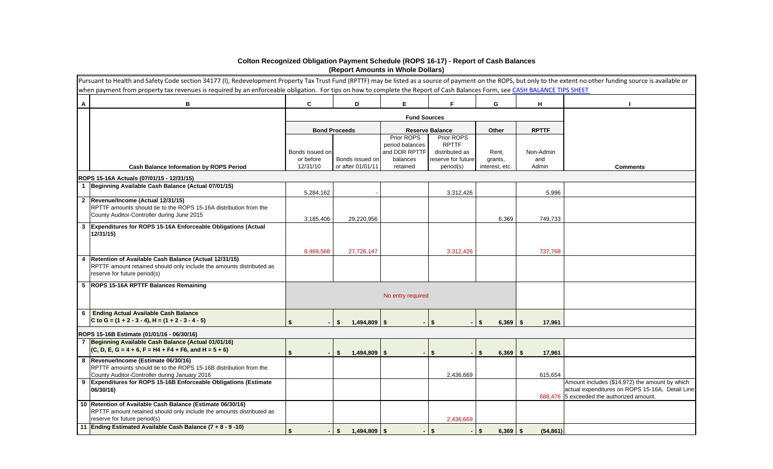|   | Pursuant to Health and Safety Code section 34177 (I), Redevelopment Property Tax Trust Fund (RPTTF) may be listed as a source of payment on the ROPS, but only to the extent no other funding source is available or<br>when payment from property tax revenues is required by an enforceable obligation. For tips on how to complete the Report of Cash Balances Form, see CASH BALANCE TIPS SHEET |                                          |                                      |                                                                        |                                                                                 |                                    |                           |                                                                                                                                                |
|---|-----------------------------------------------------------------------------------------------------------------------------------------------------------------------------------------------------------------------------------------------------------------------------------------------------------------------------------------------------------------------------------------------------|------------------------------------------|--------------------------------------|------------------------------------------------------------------------|---------------------------------------------------------------------------------|------------------------------------|---------------------------|------------------------------------------------------------------------------------------------------------------------------------------------|
| A | В                                                                                                                                                                                                                                                                                                                                                                                                   | $\mathbf c$                              | D                                    | E                                                                      | F.                                                                              | G                                  | H                         |                                                                                                                                                |
|   |                                                                                                                                                                                                                                                                                                                                                                                                     |                                          |                                      | <b>Fund Sources</b>                                                    |                                                                                 |                                    |                           |                                                                                                                                                |
|   |                                                                                                                                                                                                                                                                                                                                                                                                     |                                          | <b>Bond Proceeds</b>                 |                                                                        | <b>Reserve Balance</b>                                                          | Other                              | <b>RPTTF</b>              |                                                                                                                                                |
|   | <b>Cash Balance Information by ROPS Period</b>                                                                                                                                                                                                                                                                                                                                                      | Bonds issued on<br>or before<br>12/31/10 | Bonds issued on<br>or after 01/01/11 | Prior ROPS<br>period balances<br>and DDR RPTTF<br>balances<br>retained | Prior ROPS<br><b>RPTTF</b><br>distributed as<br>reserve for future<br>period(s) | Rent,<br>grants,<br>interest, etc. | Non-Admin<br>and<br>Admin | <b>Comments</b>                                                                                                                                |
|   | ROPS 15-16A Actuals (07/01/15 - 12/31/15)                                                                                                                                                                                                                                                                                                                                                           |                                          |                                      |                                                                        |                                                                                 |                                    |                           |                                                                                                                                                |
|   | Beginning Available Cash Balance (Actual 07/01/15)                                                                                                                                                                                                                                                                                                                                                  | 5,284,162                                |                                      |                                                                        | 3,312,426                                                                       |                                    | 5,996                     |                                                                                                                                                |
|   | 2  Revenue/Income (Actual 12/31/15)<br>RPTTF amounts should tie to the ROPS 15-16A distribution from the<br>County Auditor-Controller during June 2015                                                                                                                                                                                                                                              | 3,185,406                                | 29,220,956                           |                                                                        |                                                                                 | 6,369                              | 749,733                   |                                                                                                                                                |
| 3 | Expenditures for ROPS 15-16A Enforceable Obligations (Actual<br>12/31/15                                                                                                                                                                                                                                                                                                                            |                                          |                                      |                                                                        |                                                                                 |                                    |                           |                                                                                                                                                |
|   |                                                                                                                                                                                                                                                                                                                                                                                                     | 8,469,568                                | 27,726,147                           |                                                                        | 3,312,426                                                                       |                                    | 737,768                   |                                                                                                                                                |
| 4 | Retention of Available Cash Balance (Actual 12/31/15)<br>RPTTF amount retained should only include the amounts distributed as<br>reserve for future period(s)                                                                                                                                                                                                                                       |                                          |                                      |                                                                        |                                                                                 |                                    |                           |                                                                                                                                                |
|   | 5  ROPS 15-16A RPTTF Balances Remaining                                                                                                                                                                                                                                                                                                                                                             |                                          |                                      | No entry required                                                      |                                                                                 |                                    |                           |                                                                                                                                                |
| 6 | <b>Ending Actual Available Cash Balance</b><br>C to G = $(1 + 2 - 3 - 4)$ , H = $(1 + 2 - 3 - 4 - 5)$                                                                                                                                                                                                                                                                                               |                                          | $1,494,809$ \ \$<br>-S               | $\sim$                                                                 | - \$                                                                            | $6,369$ \ \ \$<br>$-1$ S           | 17,961                    |                                                                                                                                                |
|   | ROPS 15-16B Estimate (01/01/16 - 06/30/16)                                                                                                                                                                                                                                                                                                                                                          |                                          |                                      |                                                                        |                                                                                 |                                    |                           |                                                                                                                                                |
|   | Beginning Available Cash Balance (Actual 01/01/16)<br>$(C, D, E, G = 4 + 6, F = H4 + F4 + F6, and H = 5 + 6)$                                                                                                                                                                                                                                                                                       | $\blacksquare$                           | $1,494,809$ \ \$<br>- \$             | $\sim$                                                                 | $\boldsymbol{\mathsf{s}}$                                                       | $6,369$ \ \$<br><b>S</b>           | 17,961                    |                                                                                                                                                |
|   | 8  Revenue/Income (Estimate 06/30/16)<br>RPTTF amounts should tie to the ROPS 15-16B distribution from the<br>County Auditor-Controller during January 2016                                                                                                                                                                                                                                         |                                          |                                      |                                                                        | 2,436,669                                                                       |                                    | 615,654                   |                                                                                                                                                |
| 9 | Expenditures for ROPS 15-16B Enforceable Obligations (Estimate<br>06/30/16)                                                                                                                                                                                                                                                                                                                         |                                          |                                      |                                                                        |                                                                                 |                                    |                           | Amount includes (\$14,972) the amount by which<br>actual expenditures on ROPS 15-16A, Detail Line<br>688,476 5 exceeded the authorized amount. |
|   | 10 Retention of Available Cash Balance (Estimate 06/30/16)<br>RPTTF amount retained should only include the amounts distributed as<br>reserve for future period(s)                                                                                                                                                                                                                                  |                                          |                                      |                                                                        | 2,436,669                                                                       |                                    |                           |                                                                                                                                                |
|   | 11 Ending Estimated Available Cash Balance (7 + 8 - 9 -10)                                                                                                                                                                                                                                                                                                                                          |                                          | $1,494,809$ \ \$<br>- \$             | $\sim$                                                                 | -S                                                                              | $6,369$ \ \$<br>l Si               | (54, 861)                 |                                                                                                                                                |

## **Colton Recognized Obligation Payment Schedule (ROPS 16-17) - Report of Cash Balances (Report Amounts in Whole Dollars)**